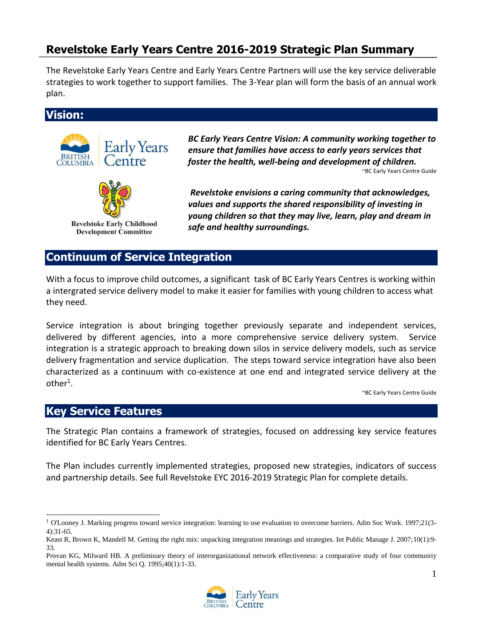# **Revelstoke Early Years Centre 2016-2019 Strategic Plan Summary**

The Revelstoke Early Years Centre and Early Years Centre Partners will use the key service deliverable strategies to work together to support families. The 3-Year plan will form the basis of an annual work plan.

**Vision:**



*BC Early Years Centre Vision: A community working together to ensure that families have access to early years services that foster the health, well-being and development of children.*

~BC Early Years Centre Guide

*Revelstoke envisions a caring community that acknowledges, values and supports the shared responsibility of investing in young children so that they may live, learn, play and dream in safe and healthy surroundings.* 

## **Continuum of Service Integration**

With a focus to improve child outcomes, a significant task of BC Early Years Centres is working within a intergrated service delivery model to make it easier for families with young children to access what they need.

Service integration is about bringing together previously separate and independent services, delivered by different agencies, into a more comprehensive service delivery system. Service integration is a strategic approach to breaking down silos in service delivery models, such as service delivery fragmentation and service duplication. The steps toward service integration have also been characterized as a continuum with co-existence at one end and integrated service delivery at the  $other<sup>1</sup>$ .

~BC Early Years Centre Guide

#### **Key Service Features**

j

The Strategic Plan contains a framework of strategies, focused on addressing key service features identified for BC Early Years Centres.

The Plan includes currently implemented strategies, proposed new strategies, indicators of success and partnership details. See full Revelstoke EYC 2016-2019 Strategic Plan for complete details.

Provan KG, Milward HB. A preliminary theory of interorganizational network effectiveness: a comparative study of four community mental health systems. Adm Sci Q. 1995;40(1):1-33.



<sup>&</sup>lt;sup>1</sup> O'Looney J. Marking progress toward service integration: learning to use evaluation to overcome barriers. Adm Soc Work. 1997;21(3-4):31-65.

Keast R, Brown K, Mandell M. Getting the right mix: unpacking integration meanings and strategies. Int Public Manage J. 2007;10(1):9- 33.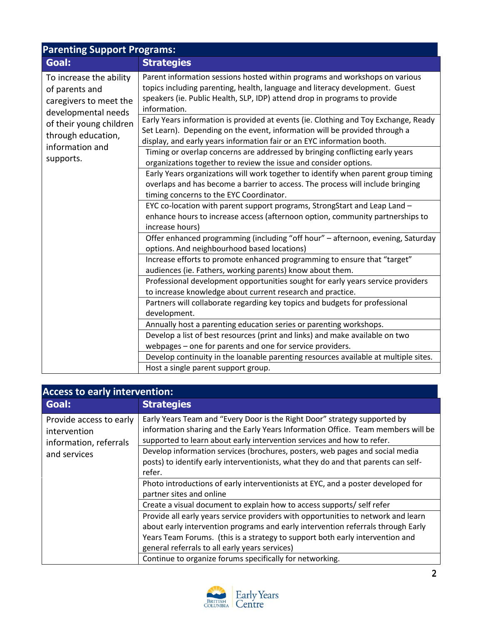| <b>Parenting Support Programs:</b>                                                                                                                                          |                                                                                                                                                                                                                                                                                                                                                                                                                                                                                                         |
|-----------------------------------------------------------------------------------------------------------------------------------------------------------------------------|---------------------------------------------------------------------------------------------------------------------------------------------------------------------------------------------------------------------------------------------------------------------------------------------------------------------------------------------------------------------------------------------------------------------------------------------------------------------------------------------------------|
| Goal:                                                                                                                                                                       | <b>Strategies</b>                                                                                                                                                                                                                                                                                                                                                                                                                                                                                       |
| To increase the ability<br>of parents and<br>caregivers to meet the<br>developmental needs<br>of their young children<br>through education,<br>information and<br>supports. | Parent information sessions hosted within programs and workshops on various<br>topics including parenting, health, language and literacy development. Guest<br>speakers (ie. Public Health, SLP, IDP) attend drop in programs to provide<br>information.<br>Early Years information is provided at events (ie. Clothing and Toy Exchange, Ready<br>Set Learn). Depending on the event, information will be provided through a<br>display, and early years information fair or an EYC information booth. |
|                                                                                                                                                                             | Timing or overlap concerns are addressed by bringing conflicting early years<br>organizations together to review the issue and consider options.                                                                                                                                                                                                                                                                                                                                                        |
|                                                                                                                                                                             | Early Years organizations will work together to identify when parent group timing<br>overlaps and has become a barrier to access. The process will include bringing<br>timing concerns to the EYC Coordinator.                                                                                                                                                                                                                                                                                          |
|                                                                                                                                                                             | EYC co-location with parent support programs, StrongStart and Leap Land -<br>enhance hours to increase access (afternoon option, community partnerships to<br>increase hours)                                                                                                                                                                                                                                                                                                                           |
|                                                                                                                                                                             | Offer enhanced programming (including "off hour" - afternoon, evening, Saturday<br>options. And neighbourhood based locations)                                                                                                                                                                                                                                                                                                                                                                          |
|                                                                                                                                                                             | Increase efforts to promote enhanced programming to ensure that "target"<br>audiences (ie. Fathers, working parents) know about them.                                                                                                                                                                                                                                                                                                                                                                   |
|                                                                                                                                                                             | Professional development opportunities sought for early years service providers<br>to increase knowledge about current research and practice.                                                                                                                                                                                                                                                                                                                                                           |
|                                                                                                                                                                             | Partners will collaborate regarding key topics and budgets for professional<br>development.                                                                                                                                                                                                                                                                                                                                                                                                             |
|                                                                                                                                                                             | Annually host a parenting education series or parenting workshops.                                                                                                                                                                                                                                                                                                                                                                                                                                      |
|                                                                                                                                                                             | Develop a list of best resources (print and links) and make available on two<br>webpages - one for parents and one for service providers.                                                                                                                                                                                                                                                                                                                                                               |
|                                                                                                                                                                             | Develop continuity in the loanable parenting resources available at multiple sites.                                                                                                                                                                                                                                                                                                                                                                                                                     |
|                                                                                                                                                                             | Host a single parent support group.                                                                                                                                                                                                                                                                                                                                                                                                                                                                     |

| <b>Access to early intervention:</b>                                              |                                                                                                                                                                                                                                                                                                          |
|-----------------------------------------------------------------------------------|----------------------------------------------------------------------------------------------------------------------------------------------------------------------------------------------------------------------------------------------------------------------------------------------------------|
| Goal:                                                                             | <b>Strategies</b>                                                                                                                                                                                                                                                                                        |
| Provide access to early<br>intervention<br>information, referrals<br>and services | Early Years Team and "Every Door is the Right Door" strategy supported by<br>information sharing and the Early Years Information Office. Team members will be<br>supported to learn about early intervention services and how to refer.                                                                  |
|                                                                                   | Develop information services (brochures, posters, web pages and social media<br>posts) to identify early interventionists, what they do and that parents can self-<br>refer.                                                                                                                             |
|                                                                                   | Photo introductions of early interventionists at EYC, and a poster developed for<br>partner sites and online                                                                                                                                                                                             |
|                                                                                   | Create a visual document to explain how to access supports/ self refer                                                                                                                                                                                                                                   |
|                                                                                   | Provide all early years service providers with opportunities to network and learn<br>about early intervention programs and early intervention referrals through Early<br>Years Team Forums. (this is a strategy to support both early intervention and<br>general referrals to all early years services) |
|                                                                                   | Continue to organize forums specifically for networking.                                                                                                                                                                                                                                                 |

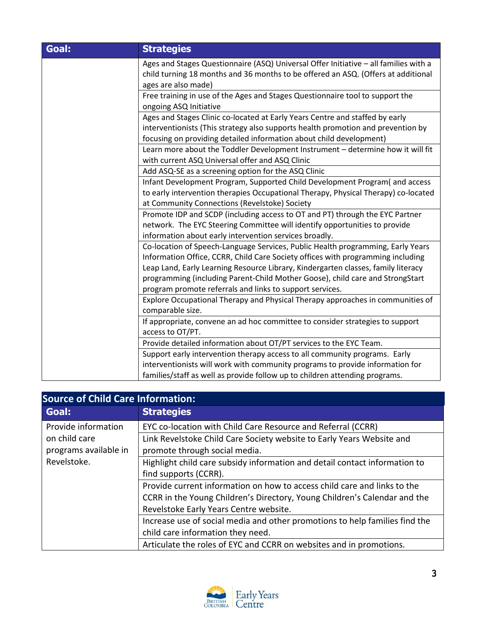| Goal: | <b>Strategies</b>                                                                                                                                                                                                                                                                                                                                                                                    |
|-------|------------------------------------------------------------------------------------------------------------------------------------------------------------------------------------------------------------------------------------------------------------------------------------------------------------------------------------------------------------------------------------------------------|
|       | Ages and Stages Questionnaire (ASQ) Universal Offer Initiative - all families with a<br>child turning 18 months and 36 months to be offered an ASQ. (Offers at additional<br>ages are also made)                                                                                                                                                                                                     |
|       | Free training in use of the Ages and Stages Questionnaire tool to support the<br>ongoing ASQ Initiative                                                                                                                                                                                                                                                                                              |
|       | Ages and Stages Clinic co-located at Early Years Centre and staffed by early<br>interventionists (This strategy also supports health promotion and prevention by<br>focusing on providing detailed information about child development)                                                                                                                                                              |
|       | Learn more about the Toddler Development Instrument - determine how it will fit<br>with current ASQ Universal offer and ASQ Clinic                                                                                                                                                                                                                                                                   |
|       | Add ASQ-SE as a screening option for the ASQ Clinic                                                                                                                                                                                                                                                                                                                                                  |
|       | Infant Development Program, Supported Child Development Program(and access                                                                                                                                                                                                                                                                                                                           |
|       | to early intervention therapies Occupational Therapy, Physical Therapy) co-located<br>at Community Connections (Revelstoke) Society                                                                                                                                                                                                                                                                  |
|       | Promote IDP and SCDP (including access to OT and PT) through the EYC Partner<br>network. The EYC Steering Committee will identify opportunities to provide<br>information about early intervention services broadly.                                                                                                                                                                                 |
|       | Co-location of Speech-Language Services, Public Health programming, Early Years<br>Information Office, CCRR, Child Care Society offices with programming including<br>Leap Land, Early Learning Resource Library, Kindergarten classes, family literacy<br>programming (including Parent-Child Mother Goose), child care and StrongStart<br>program promote referrals and links to support services. |
|       | Explore Occupational Therapy and Physical Therapy approaches in communities of<br>comparable size.                                                                                                                                                                                                                                                                                                   |
|       | If appropriate, convene an ad hoc committee to consider strategies to support<br>access to OT/PT.                                                                                                                                                                                                                                                                                                    |
|       | Provide detailed information about OT/PT services to the EYC Team.                                                                                                                                                                                                                                                                                                                                   |
|       | Support early intervention therapy access to all community programs. Early                                                                                                                                                                                                                                                                                                                           |
|       | interventionists will work with community programs to provide information for<br>families/staff as well as provide follow up to children attending programs.                                                                                                                                                                                                                                         |

| <b>Source of Child Care Information:</b> |                                                                             |
|------------------------------------------|-----------------------------------------------------------------------------|
| Goal:                                    | <b>Strategies</b>                                                           |
| Provide information                      | EYC co-location with Child Care Resource and Referral (CCRR)                |
| on child care                            | Link Revelstoke Child Care Society website to Early Years Website and       |
| programs available in                    | promote through social media.                                               |
| Revelstoke.                              | Highlight child care subsidy information and detail contact information to  |
|                                          | find supports (CCRR).                                                       |
|                                          | Provide current information on how to access child care and links to the    |
|                                          | CCRR in the Young Children's Directory, Young Children's Calendar and the   |
|                                          | Revelstoke Early Years Centre website.                                      |
|                                          | Increase use of social media and other promotions to help families find the |
|                                          | child care information they need.                                           |
|                                          | Articulate the roles of EYC and CCRR on websites and in promotions.         |

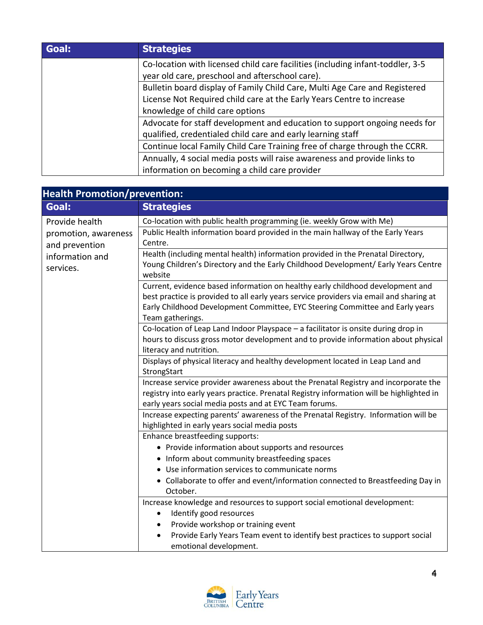| Goal: | <b>Strategies</b>                                                              |
|-------|--------------------------------------------------------------------------------|
|       | Co-location with licensed child care facilities (including infant-toddler, 3-5 |
|       | year old care, preschool and afterschool care).                                |
|       | Bulletin board display of Family Child Care, Multi Age Care and Registered     |
|       | License Not Required child care at the Early Years Centre to increase          |
|       | knowledge of child care options                                                |
|       | Advocate for staff development and education to support ongoing needs for      |
|       | qualified, credentialed child care and early learning staff                    |
|       | Continue local Family Child Care Training free of charge through the CCRR.     |
|       | Annually, 4 social media posts will raise awareness and provide links to       |
|       | information on becoming a child care provider                                  |

| <b>Health Promotion/prevention:</b>                                                      |                                                                                                                                                                                                                                                                                    |
|------------------------------------------------------------------------------------------|------------------------------------------------------------------------------------------------------------------------------------------------------------------------------------------------------------------------------------------------------------------------------------|
| Goal:                                                                                    | <b>Strategies</b>                                                                                                                                                                                                                                                                  |
| Provide health<br>promotion, awareness<br>and prevention<br>information and<br>services. | Co-location with public health programming (ie. weekly Grow with Me)                                                                                                                                                                                                               |
|                                                                                          | Public Health information board provided in the main hallway of the Early Years<br>Centre.                                                                                                                                                                                         |
|                                                                                          | Health (including mental health) information provided in the Prenatal Directory,<br>Young Children's Directory and the Early Childhood Development/ Early Years Centre<br>website                                                                                                  |
|                                                                                          | Current, evidence based information on healthy early childhood development and<br>best practice is provided to all early years service providers via email and sharing at<br>Early Childhood Development Committee, EYC Steering Committee and Early years<br>Team gatherings.     |
|                                                                                          | Co-location of Leap Land Indoor Playspace - a facilitator is onsite during drop in<br>hours to discuss gross motor development and to provide information about physical<br>literacy and nutrition.                                                                                |
|                                                                                          | Displays of physical literacy and healthy development located in Leap Land and<br>StrongStart                                                                                                                                                                                      |
|                                                                                          | Increase service provider awareness about the Prenatal Registry and incorporate the<br>registry into early years practice. Prenatal Registry information will be highlighted in<br>early years social media posts and at EYC Team forums.                                          |
|                                                                                          | Increase expecting parents' awareness of the Prenatal Registry. Information will be<br>highlighted in early years social media posts                                                                                                                                               |
|                                                                                          | Enhance breastfeeding supports:<br>• Provide information about supports and resources                                                                                                                                                                                              |
|                                                                                          | • Inform about community breastfeeding spaces<br>• Use information services to communicate norms                                                                                                                                                                                   |
|                                                                                          | • Collaborate to offer and event/information connected to Breastfeeding Day in<br>October.                                                                                                                                                                                         |
|                                                                                          | Increase knowledge and resources to support social emotional development:<br>Identify good resources<br>٠<br>Provide workshop or training event<br>$\bullet$<br>Provide Early Years Team event to identify best practices to support social<br>$\bullet$<br>emotional development. |

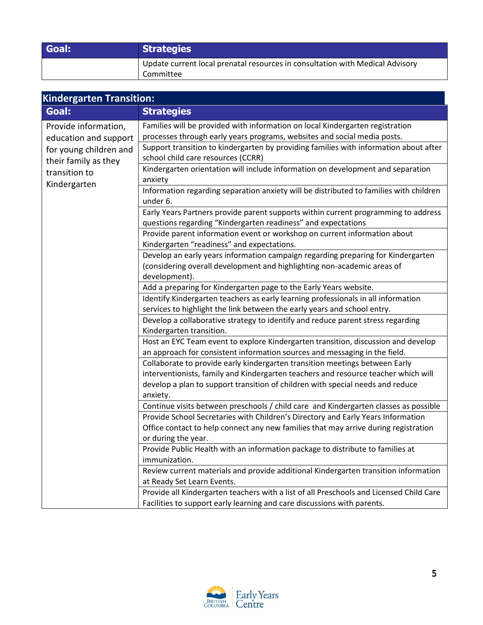| Goal: | <b>Strategies</b>                                                             |
|-------|-------------------------------------------------------------------------------|
|       | Update current local prenatal resources in consultation with Medical Advisory |
|       | Committee                                                                     |

| <b>Kindergarten Transition:</b>                                                 |                                                                                                                                                             |
|---------------------------------------------------------------------------------|-------------------------------------------------------------------------------------------------------------------------------------------------------------|
| Goal:                                                                           | <b>Strategies</b>                                                                                                                                           |
| Provide information,                                                            | Families will be provided with information on local Kindergarten registration                                                                               |
| education and support                                                           | processes through early years programs, websites and social media posts.                                                                                    |
| for young children and<br>their family as they<br>transition to<br>Kindergarten | Support transition to kindergarten by providing families with information about after<br>school child care resources (CCRR)                                 |
|                                                                                 | Kindergarten orientation will include information on development and separation<br>anxiety                                                                  |
|                                                                                 | Information regarding separation anxiety will be distributed to families with children<br>under 6.                                                          |
|                                                                                 | Early Years Partners provide parent supports within current programming to address<br>questions regarding "Kindergarten readiness" and expectations         |
|                                                                                 | Provide parent information event or workshop on current information about<br>Kindergarten "readiness" and expectations.                                     |
|                                                                                 | Develop an early years information campaign regarding preparing for Kindergarten<br>(considering overall development and highlighting non-academic areas of |
|                                                                                 | development).                                                                                                                                               |
|                                                                                 | Add a preparing for Kindergarten page to the Early Years website.                                                                                           |
|                                                                                 | Identify Kindergarten teachers as early learning professionals in all information                                                                           |
|                                                                                 | services to highlight the link between the early years and school entry.                                                                                    |
|                                                                                 | Develop a collaborative strategy to identify and reduce parent stress regarding<br>Kindergarten transition.                                                 |
|                                                                                 | Host an EYC Team event to explore Kindergarten transition, discussion and develop                                                                           |
|                                                                                 | an approach for consistent information sources and messaging in the field.                                                                                  |
|                                                                                 | Collaborate to provide early kindergarten transition meetings between Early                                                                                 |
|                                                                                 | interventionists, family and Kindergarten teachers and resource teacher which will                                                                          |
|                                                                                 | develop a plan to support transition of children with special needs and reduce                                                                              |
|                                                                                 | anxiety.                                                                                                                                                    |
|                                                                                 | Continue visits between preschools / child care and Kindergarten classes as possible                                                                        |
|                                                                                 | Provide School Secretaries with Children's Directory and Early Years Information                                                                            |
|                                                                                 | Office contact to help connect any new families that may arrive during registration                                                                         |
|                                                                                 | or during the year.                                                                                                                                         |
|                                                                                 | Provide Public Health with an information package to distribute to families at<br>immunization.                                                             |
|                                                                                 | Review current materials and provide additional Kindergarten transition information                                                                         |
|                                                                                 | at Ready Set Learn Events.                                                                                                                                  |
|                                                                                 | Provide all Kindergarten teachers with a list of all Preschools and Licensed Child Care                                                                     |
|                                                                                 | Facilities to support early learning and care discussions with parents.                                                                                     |